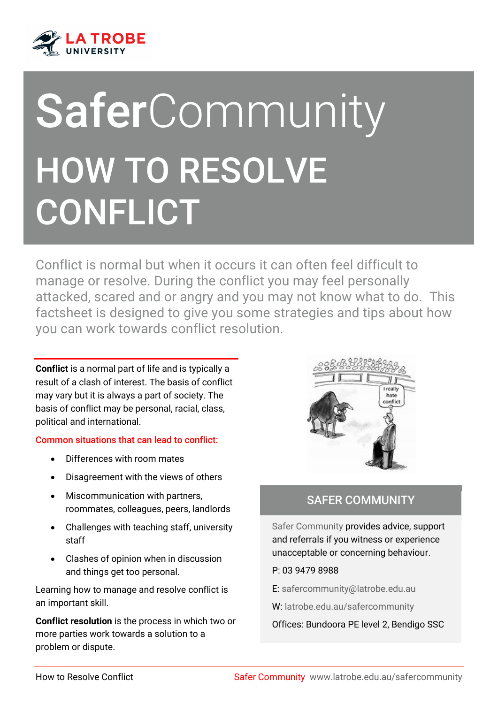

# **SaferCommunity** HOW TO RESOLVE CONFLICT

Conflict is normal but when it occurs it can often feel difficult to manage or resolve. During the conflict you may feel personally attacked, scared and or angry and you may not know what to do. This factsheet is designed to give you some strategies and tips about how you can work towards conflict resolution.

**Conflict** is a normal part of life and is typically a result of a clash of interest. The basis of conflict may vary but it is always a part of society. The basis of conflict may be personal, racial, class, political and international.

#### Common situations that can lead to conflict:

- Differences with room mates
- Disagreement with the views of others
- Miscommunication with partners, roommates, colleagues, peers, landlords
- Challenges with teaching staff, university staff
- Clashes of opinion when in discussion and things get too personal.

Learning how to manage and resolve conflict is an important skill.

**Conflict resolution** is the process in which two or more parties work towards a solution to a problem or dispute.



í

### SAFER COMMUNITY

Safer Community provides advice, support and referrals if you witness or experience unacceptable or concerning behaviour.

#### P: 03 9479 8988

E: [safercommunity@latrobe.edu.au](mailto:safercommunity@latrobe.edu.au)

W: [latrobe.edu.au/safercommunity](http://www.latrobe.edu.au/safercommunity)

Offices: Bundoora PE level 2, Bendigo SSC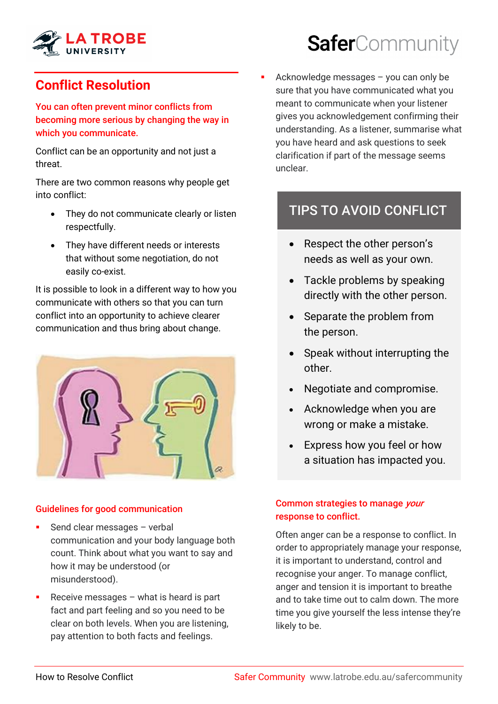

# **Conflict Resolution**

You can often prevent minor conflicts from becoming more serious by changing the way in which you communicate.

Conflict can be an opportunity and not just a threat.

There are two common reasons why people get into conflict:

- They do not communicate clearly or listen respectfully.
- They have different needs or interests that without some negotiation, do not easily co-exist.

It is possible to look in a different way to how you communicate with others so that you can turn conflict into an opportunity to achieve clearer communication and thus bring about change.



#### Guidelines for good communication

- Send clear messages verbal communication and your body language both count. Think about what you want to say and how it may be understood (or misunderstood).
- Receive messages what is heard is part fact and part feeling and so you need to be clear on both levels. When you are listening, pay attention to both facts and feelings.

# SaferCommunity

 Acknowledge messages – you can only be sure that you have communicated what you meant to communicate when your listener gives you acknowledgement confirming their understanding. As a listener, summarise what you have heard and ask questions to seek clarification if part of the message seems unclear.

# TIPS TO AVOID CONFLICT

- Respect the other person's needs as well as your own.
- Tackle problems by speaking directly with the other person.
- Separate the problem from the person.
- Speak without interrupting the other.
- Negotiate and compromise.
- Acknowledge when you are wrong or make a mistake.
- Express how you feel or how a situation has impacted you.

#### Common strategies to manage your response to conflict.

Often anger can be a response to conflict. In order to appropriately manage your response, it is important to understand, control and recognise your anger. To manage conflict, anger and tension it is important to breathe and to take time out to calm down. The more time you give yourself the less intense they're likely to be.